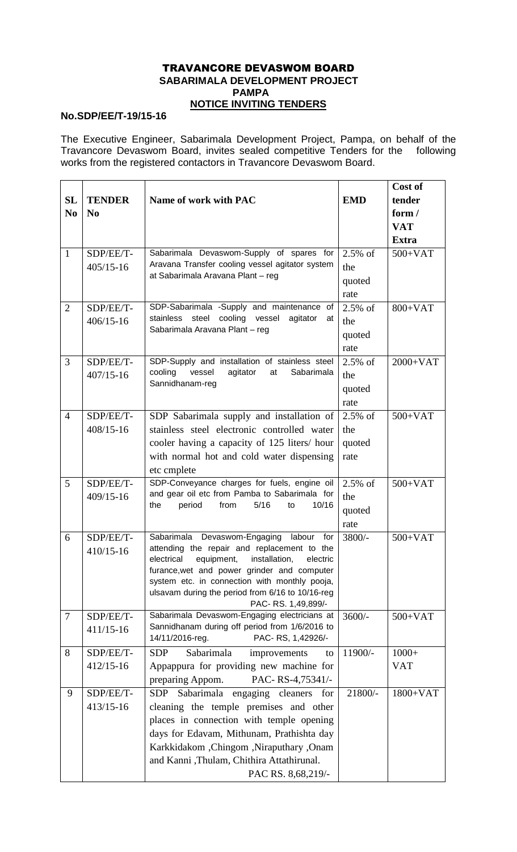## TRAVANCORE DEVASWOM BOARD  **SABARIMALA DEVELOPMENT PROJECT PAMPA NOTICE INVITING TENDERS**

## **No.SDP/EE/T-19/15-16**

The Executive Engineer, Sabarimala Development Project, Pampa, on behalf of the Travancore Devaswom Board, invites sealed competitive Tenders for the following works from the registered contactors in Travancore Devaswom Board.

|                |                            |                                                                                                                                       |            | Cost of      |
|----------------|----------------------------|---------------------------------------------------------------------------------------------------------------------------------------|------------|--------------|
| <b>SL</b>      | <b>TENDER</b>              | Name of work with PAC                                                                                                                 | <b>EMD</b> | tender       |
| N <sub>0</sub> | N <sub>0</sub>             |                                                                                                                                       |            | form $/$     |
|                |                            |                                                                                                                                       |            | <b>VAT</b>   |
|                |                            |                                                                                                                                       |            | <b>Extra</b> |
| $\mathbf{1}$   | SDP/EE/T-                  | Sabarimala Devaswom-Supply of spares for                                                                                              | $2.5\%$ of | $500+VAT$    |
|                | $405/15 - 16$              | Aravana Transfer cooling vessel agitator system                                                                                       | the        |              |
|                |                            | at Sabarimala Aravana Plant - reg                                                                                                     | quoted     |              |
|                |                            |                                                                                                                                       | rate       |              |
| $\overline{2}$ | SDP/EE/T-                  | SDP-Sabarimala -Supply and maintenance of<br>cooling vessel<br>stainless<br>steel<br>agitator<br>at<br>Sabarimala Aravana Plant - reg | $2.5\%$ of | $800+VAT$    |
|                | $406/15 - 16$              |                                                                                                                                       | the        |              |
|                |                            |                                                                                                                                       | quoted     |              |
|                |                            |                                                                                                                                       | rate       |              |
| 3              | SDP/EE/T-<br>$407/15 - 16$ | SDP-Supply and installation of stainless steel<br>cooling<br>agitator<br>Sabarimala<br>vessel<br>at<br>Sannidhanam-reg                | $2.5\%$ of | $2000+VAT$   |
|                |                            |                                                                                                                                       | the        |              |
|                |                            |                                                                                                                                       | quoted     |              |
|                |                            |                                                                                                                                       | rate       |              |
| $\overline{4}$ | SDP/EE/T-                  | SDP Sabarimala supply and installation of                                                                                             | $2.5\%$ of | $500+VAT$    |
|                | 408/15-16                  | stainless steel electronic controlled water                                                                                           | the        |              |
|                |                            | cooler having a capacity of 125 liters/hour                                                                                           | quoted     |              |
|                |                            | with normal hot and cold water dispensing                                                                                             | rate       |              |
|                |                            | etc cmplete                                                                                                                           |            |              |
| 5              | SDP/EE/T-                  | SDP-Conveyance charges for fuels, engine oil                                                                                          | $2.5\%$ of | $500+VAT$    |
|                | $409/15 - 16$              | and gear oil etc from Pamba to Sabarimala for                                                                                         | the        |              |
|                |                            | period<br>from<br>5/16<br>10/16<br>the<br>to                                                                                          | quoted     |              |
|                |                            |                                                                                                                                       | rate       |              |
| 6              | SDP/EE/T-                  | Sabarimala Devaswom-Engaging<br>labour<br>for                                                                                         | $3800/-$   | $500+VAT$    |
|                | 410/15-16                  | attending the repair and replacement to the                                                                                           |            |              |
|                |                            | electrical equipment, installation, electric                                                                                          |            |              |
|                |                            | furance, wet and power grinder and computer                                                                                           |            |              |
|                |                            | system etc. in connection with monthly pooja,<br>ulsavam during the period from 6/16 to 10/16-reg                                     |            |              |
|                |                            | PAC-RS. 1,49,899/-                                                                                                                    |            |              |
| $\tau$         | SDP/EE/T-                  | Sabarimala Devaswom-Engaging electricians at                                                                                          | $3600/-$   | $500+VAT$    |
|                | $411/15-16$                | Sannidhanam during off period from 1/6/2016 to                                                                                        |            |              |
|                |                            | PAC-RS, 1,42926/-<br>14/11/2016-reg.                                                                                                  |            |              |
| 8              | SDP/EE/T-                  | Sabarimala<br><b>SDP</b><br>improvements<br>to                                                                                        | 11900/-    | $1000+$      |
|                | $412/15 - 16$              | Appappura for providing new machine for                                                                                               |            | <b>VAT</b>   |
|                |                            | PAC-RS-4,75341/-<br>preparing Appom.                                                                                                  |            |              |
| 9              | SDP/EE/T-                  | Sabarimala<br><b>SDP</b><br>engaging cleaners<br>for                                                                                  | 21800/-    | $1800+VAT$   |
|                | $413/15 - 16$              | cleaning the temple premises and other                                                                                                |            |              |
|                |                            | places in connection with temple opening                                                                                              |            |              |
|                |                            | days for Edavam, Mithunam, Prathishta day                                                                                             |            |              |
|                |                            | Karkkidakom ,Chingom ,Niraputhary ,Onam                                                                                               |            |              |
|                |                            | and Kanni, Thulam, Chithira Attathirunal.                                                                                             |            |              |
|                |                            | PAC RS. 8,68,219/-                                                                                                                    |            |              |